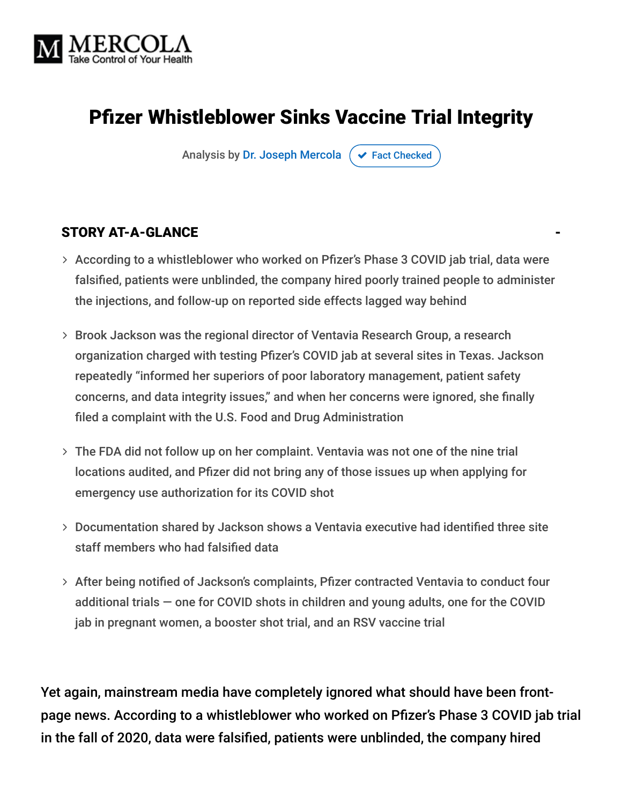

# Pfizer Whistleblower Sinks Vaccine Trial Integrity

Analysis by [Dr. Joseph Mercola](https://www.mercola.com/forms/background.htm)  $\sigma$  [Fact Checked](javascript:void(0))

#### STORY AT-A-GLANCE

- According to a whistleblower who worked on Pfizer's Phase 3 COVID jab trial, data were falsified, patients were unblinded, the company hired poorly trained people to administer the injections, and follow-up on reported side effects lagged way behind
- Brook Jackson was the regional director of Ventavia Research Group, a research organization charged with testing Pfizer's COVID jab at several sites in Texas. Jackson repeatedly "informed her superiors of poor laboratory management, patient safety concerns, and data integrity issues," and when her concerns were ignored, she finally filed a complaint with the U.S. Food and Drug Administration
- The FDA did not follow up on her complaint. Ventavia was not one of the nine trial locations audited, and Pfizer did not bring any of those issues up when applying for emergency use authorization for its COVID shot
- Documentation shared by Jackson shows a Ventavia executive had identified three site staff members who had falsified data
- > After being notified of Jackson's complaints, Pfizer contracted Ventavia to conduct four additional trials — one for COVID shots in children and young adults, one for the COVID jab in pregnant women, a booster shot trial, and an RSV vaccine trial

Yet again, mainstream media have completely ignored what should have been frontpage news. According to a whistleblower who worked on Pfizer's Phase 3 COVID jab trial in the fall of 2020, data were falsified, patients were unblinded, the company hired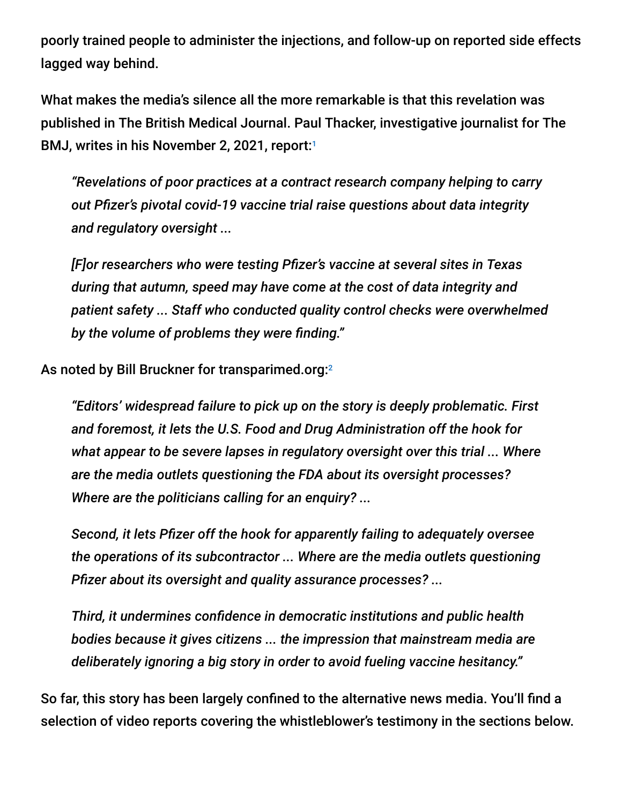poorly trained people to administer the injections, and follow-up on reported side effects lagged way behind.

What makes the media's silence all the more remarkable is that this revelation was published in The British Medical Journal. Paul Thacker, investigative journalist for The BMJ, writes in his November 2, 2021, report: 1

*"Revelations of poor practices at a contract research company helping to carry out Pfizer's pivotal covid-19 vaccine trial raise questions about data integrity and regulatory oversight ...*

*[F]or researchers who were testing Pfizer's vaccine at several sites in Texas during that autumn, speed may have come at the cost of data integrity and patient safety ... Staff who conducted quality control checks were overwhelmed by the volume of problems they were finding."*

As noted by Bill Bruckner for transparimed.org:2

*"Editors' widespread failure to pick up on the story is deeply problematic. First and foremost, it lets the U.S. Food and Drug Administration off the hook for what appear to be severe lapses in regulatory oversight over this trial ... Where are the media outlets questioning the FDA about its oversight processes? Where are the politicians calling for an enquiry? ...*

*Second, it lets Pfizer off the hook for apparently failing to adequately oversee the operations of its subcontractor ... Where are the media outlets questioning Pfizer about its oversight and quality assurance processes? ...*

*Third, it undermines confidence in democratic institutions and public health bodies because it gives citizens ... the impression that mainstream media are deliberately ignoring a big story in order to avoid fueling vaccine hesitancy."*

So far, this story has been largely confined to the alternative news media. You'll find a selection of video reports covering the whistleblower's testimony in the sections below.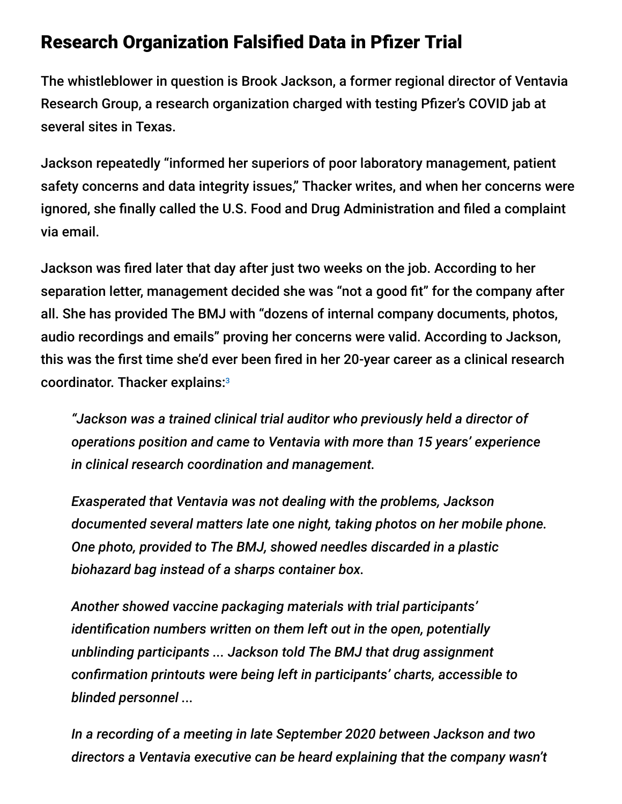## Research Organization Falsified Data in Pfizer Trial

The whistleblower in question is Brook Jackson, a former regional director of Ventavia Research Group, a research organization charged with testing Pfizer's COVID jab at several sites in Texas.

Jackson repeatedly "informed her superiors of poor laboratory management, patient safety concerns and data integrity issues," Thacker writes, and when her concerns were ignored, she finally called the U.S. Food and Drug Administration and filed a complaint via email.

Jackson was fired later that day after just two weeks on the job. According to her separation letter, management decided she was "not a good fit" for the company after all. She has provided The BMJ with "dozens of internal company documents, photos, audio recordings and emails" proving her concerns were valid. According to Jackson, this was the first time she'd ever been fired in her 20-year career as a clinical research coordinator. Thacker explains:<sup>3</sup>

*"Jackson was a trained clinical trial auditor who previously held a director of operations position and came to Ventavia with more than 15 years' experience in clinical research coordination and management.*

*Exasperated that Ventavia was not dealing with the problems, Jackson documented several matters late one night, taking photos on her mobile phone. One photo, provided to The BMJ, showed needles discarded in a plastic biohazard bag instead of a sharps container box.*

*Another showed vaccine packaging materials with trial participants' identification numbers written on them left out in the open, potentially unblinding participants ... Jackson told The BMJ that drug assignment confirmation printouts were being left in participants' charts, accessible to blinded personnel ...*

*In a recording of a meeting in late September 2020 between Jackson and two directors a Ventavia executive can be heard explaining that the company wasn't*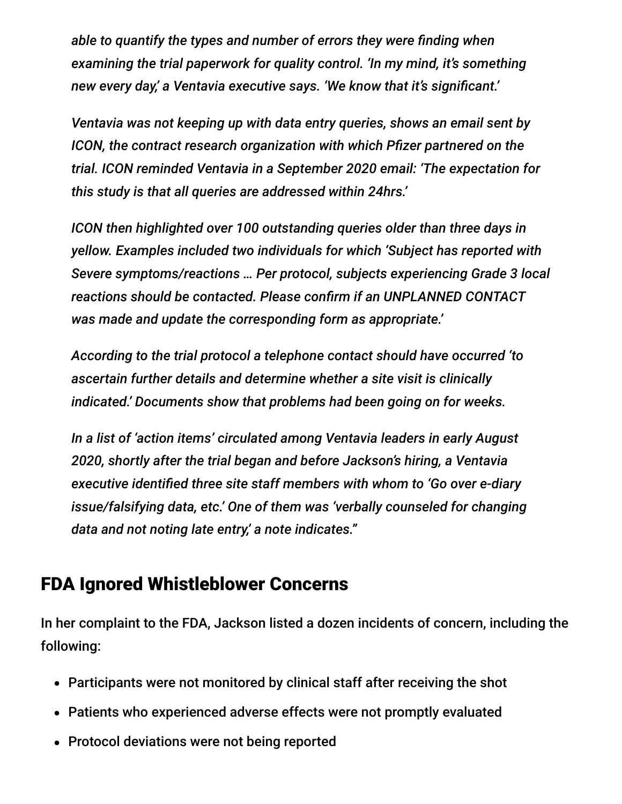*able to quantify the types and number of errors they were finding when examining the trial paperwork for quality control. 'In my mind, it's something new every day,' a Ventavia executive says. 'We know that it's significant.'*

*Ventavia was not keeping up with data entry queries, shows an email sent by ICON, the contract research organization with which Pfizer partnered on the trial. ICON reminded Ventavia in a September 2020 email: 'The expectation for this study is that all queries are addressed within 24hrs.'*

*ICON then highlighted over 100 outstanding queries older than three days in yellow. Examples included two individuals for which 'Subject has reported with Severe symptoms/reactions … Per protocol, subjects experiencing Grade 3 local reactions should be contacted. Please confirm if an UNPLANNED CONTACT was made and update the corresponding form as appropriate.'*

*According to the trial protocol a telephone contact should have occurred 'to ascertain further details and determine whether a site visit is clinically indicated.' Documents show that problems had been going on for weeks.*

*In a list of 'action items' circulated among Ventavia leaders in early August 2020, shortly after the trial began and before Jackson's hiring, a Ventavia executive identified three site staff members with whom to 'Go over e-diary issue/falsifying data, etc.' One of them was 'verbally counseled for changing data and not noting late entry,' a note indicates."*

## FDA Ignored Whistleblower Concerns

In her complaint to the FDA, Jackson listed a dozen incidents of concern, including the following:

- Participants were not monitored by clinical staff after receiving the shot
- Patients who experienced adverse effects were not promptly evaluated
- Protocol deviations were not being reported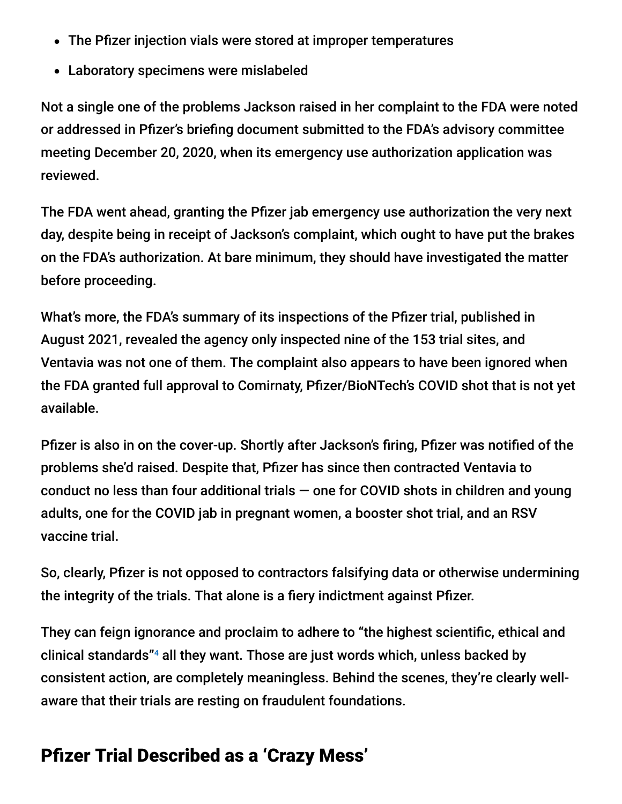- The Pfizer injection vials were stored at improper temperatures
- Laboratory specimens were mislabeled

Not a single one of the problems Jackson raised in her complaint to the FDA were noted or addressed in Pfizer's briefing document submitted to the FDA's advisory committee meeting December 20, 2020, when its emergency use authorization application was reviewed.

The FDA went ahead, granting the Pfizer jab emergency use authorization the very next day, despite being in receipt of Jackson's complaint, which ought to have put the brakes on the FDA's authorization. At bare minimum, they should have investigated the matter before proceeding.

What's more, the FDA's summary of its inspections of the Pfizer trial, published in August 2021, revealed the agency only inspected nine of the 153 trial sites, and Ventavia was not one of them. The complaint also appears to have been ignored when the FDA granted full approval to Comirnaty, Pfizer/BioNTech's COVID shot that is not yet available.

Pfizer is also in on the cover-up. Shortly after Jackson's firing, Pfizer was notified of the problems she'd raised. Despite that, Pfizer has since then contracted Ventavia to conduct no less than four additional trials  $-$  one for COVID shots in children and young adults, one for the COVID jab in pregnant women, a booster shot trial, and an RSV vaccine trial.

So, clearly, Pfizer is not opposed to contractors falsifying data or otherwise undermining the integrity of the trials. That alone is a fiery indictment against Pfizer.

They can feign ignorance and proclaim to adhere to "the highest scientific, ethical and clinical standards"<sup>4</sup> all they want. Those are just words which, unless backed by consistent action, are completely meaningless. Behind the scenes, they're clearly wellaware that their trials are resting on fraudulent foundations.

# Pfizer Trial Described as a 'Crazy Mess'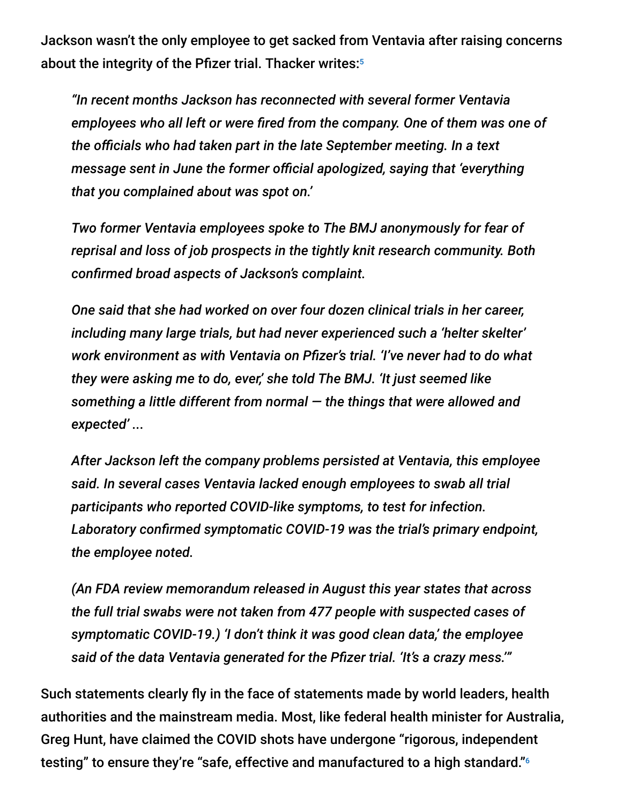Jackson wasn't the only employee to get sacked from Ventavia after raising concerns about the integrity of the Pfizer trial. Thacker writes: 5

*"In recent months Jackson has reconnected with several former Ventavia employees who all left or were fired from the company. One of them was one of the officials who had taken part in the late September meeting. In a text message sent in June the former official apologized, saying that 'everything that you complained about was spot on.'*

*Two former Ventavia employees spoke to The BMJ anonymously for fear of reprisal and loss of job prospects in the tightly knit research community. Both confirmed broad aspects of Jackson's complaint.*

*One said that she had worked on over four dozen clinical trials in her career, including many large trials, but had never experienced such a 'helter skelter' work environment as with Ventavia on Pfizer's trial. 'I've never had to do what they were asking me to do, ever,' she told The BMJ. 'It just seemed like something a little different from normal — the things that were allowed and expected' ...*

*After Jackson left the company problems persisted at Ventavia, this employee said. In several cases Ventavia lacked enough employees to swab all trial participants who reported COVID-like symptoms, to test for infection. Laboratory confirmed symptomatic COVID-19 was the trial's primary endpoint, the employee noted.*

*(An FDA review memorandum released in August this year states that across the full trial swabs were not taken from 477 people with suspected cases of symptomatic COVID-19.) 'I don't think it was good clean data,' the employee said of the data Ventavia generated for the Pfizer trial. 'It's a crazy mess.'"*

Such statements clearly fly in the face of statements made by world leaders, health authorities and the mainstream media. Most, like federal health minister for Australia, Greg Hunt, have claimed the COVID shots have undergone "rigorous, independent testing" to ensure they're "safe, effective and manufactured to a high standard." 6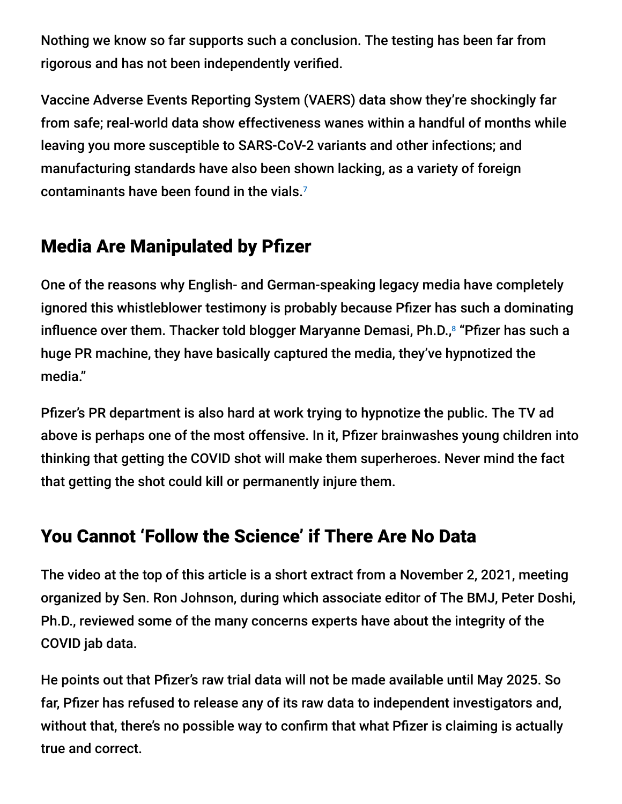Nothing we know so far supports such a conclusion. The testing has been far from rigorous and has not been independently verified.

Vaccine Adverse Events Reporting System (VAERS) data show they're shockingly far from safe; real-world data show effectiveness wanes within a handful of months while leaving you more susceptible to SARS-CoV-2 variants and other infections; and manufacturing standards have also been shown lacking, as a variety of foreign contaminants have been found in the vials. 7

# Media Are Manipulated by Pfizer

One of the reasons why English- and German-speaking legacy media have completely ignored this whistleblower testimony is probably because Pfizer has such a dominating influence over them. Thacker told blogger Maryanne Demasi, Ph.D.,<sup>8</sup> "Pfizer has such a huge PR machine, they have basically captured the media, they've hypnotized the media."

Pfizer's PR department is also hard at work trying to hypnotize the public. The TV ad above is perhaps one of the most offensive. In it, Pfizer brainwashes young children into thinking that getting the COVID shot will make them superheroes. Never mind the fact that getting the shot could kill or permanently injure them.

# You Cannot 'Follow the Science' if There Are No Data

The video at the top of this article is a short extract from a November 2, 2021, meeting organized by Sen. Ron Johnson, during which associate editor of The BMJ, Peter Doshi, Ph.D., reviewed some of the many concerns experts have about the integrity of the COVID jab data.

He points out that Pfizer's raw trial data will not be made available until May 2025. So far, Pfizer has refused to release any of its raw data to independent investigators and, without that, there's no possible way to confirm that what Pfizer is claiming is actually true and correct.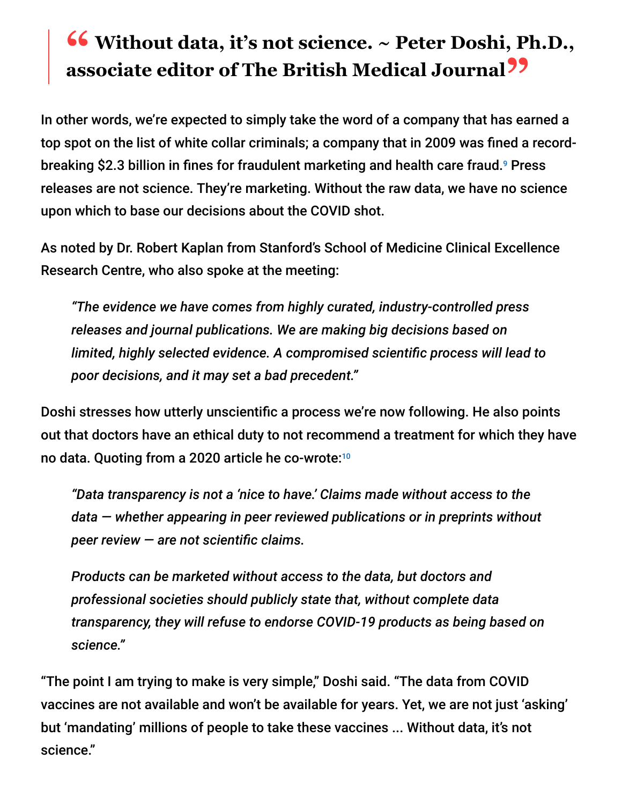# **<sup>66</sup>** Without data, it's not science. ~ Peter Doshi, Ph.D., associate editor of The Rritish Medical Journal<sup>99</sup> **associate editor of The British Medical Journal"**

In other words, we're expected to simply take the word of a company that has earned a top spot on the list of white collar criminals; a company that in 2009 was fined a recordbreaking \$2.3 billion in fines for fraudulent marketing and health care fraud.<sup>9</sup> Press releases are not science. They're marketing. Without the raw data, we have no science upon which to base our decisions about the COVID shot.

As noted by Dr. Robert Kaplan from Stanford's School of Medicine Clinical Excellence Research Centre, who also spoke at the meeting:

*"The evidence we have comes from highly curated, industry-controlled press releases and journal publications. We are making big decisions based on limited, highly selected evidence. A compromised scientific process will lead to poor decisions, and it may set a bad precedent."*

Doshi stresses how utterly unscientific a process we're now following. He also points out that doctors have an ethical duty to not recommend a treatment for which they have no data. Quoting from a 2020 article he co-wrote: 10

*"Data transparency is not a 'nice to have.' Claims made without access to the data — whether appearing in peer reviewed publications or in preprints without peer review — are not scientific claims.*

*Products can be marketed without access to the data, but doctors and professional societies should publicly state that, without complete data transparency, they will refuse to endorse COVID-19 products as being based on science."*

"The point I am trying to make is very simple," Doshi said. "The data from COVID vaccines are not available and won't be available for years. Yet, we are not just 'asking' but 'mandating' millions of people to take these vaccines ... Without data, it's not science."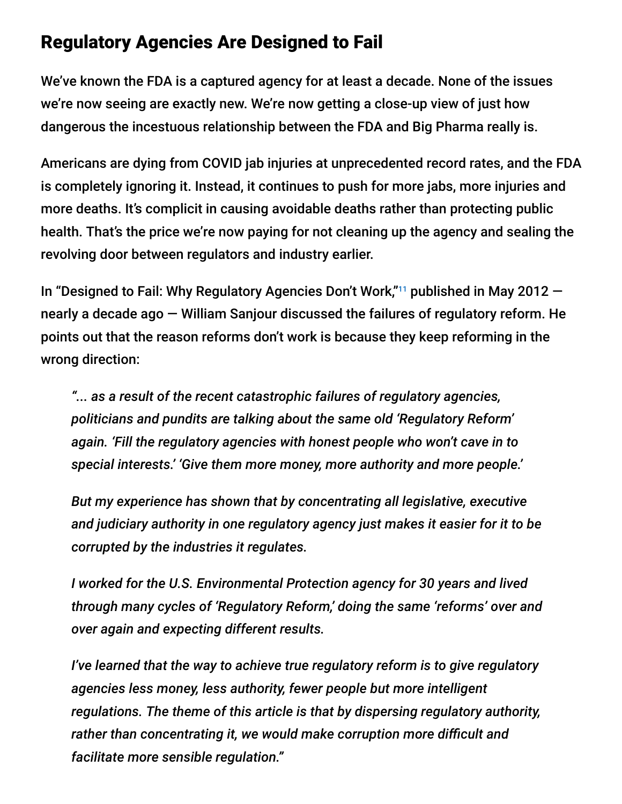### Regulatory Agencies Are Designed to Fail

We've known the FDA is a captured agency for at least a decade. None of the issues we're now seeing are exactly new. We're now getting a close-up view of just how dangerous the incestuous relationship between the FDA and Big Pharma really is.

Americans are dying from COVID jab injuries at unprecedented record rates, and the FDA is completely ignoring it. Instead, it continues to push for more jabs, more injuries and more deaths. It's complicit in causing avoidable deaths rather than protecting public health. That's the price we're now paying for not cleaning up the agency and sealing the revolving door between regulators and industry earlier.

In "Designed to Fail: Why Regulatory Agencies Don't Work," $11$  published in May 2012  $$ nearly a decade ago — William Sanjour discussed the failures of regulatory reform. He points out that the reason reforms don't work is because they keep reforming in the wrong direction:

*"... as a result of the recent catastrophic failures of regulatory agencies, politicians and pundits are talking about the same old 'Regulatory Reform' again. 'Fill the regulatory agencies with honest people who won't cave in to special interests.' 'Give them more money, more authority and more people.'*

*But my experience has shown that by concentrating all legislative, executive and judiciary authority in one regulatory agency just makes it easier for it to be corrupted by the industries it regulates.*

*I worked for the U.S. Environmental Protection agency for 30 years and lived through many cycles of 'Regulatory Reform,' doing the same 'reforms' over and over again and expecting different results.*

*I've learned that the way to achieve true regulatory reform is to give regulatory agencies less money, less authority, fewer people but more intelligent regulations. The theme of this article is that by dispersing regulatory authority, rather than concentrating it, we would make corruption more difficult and facilitate more sensible regulation."*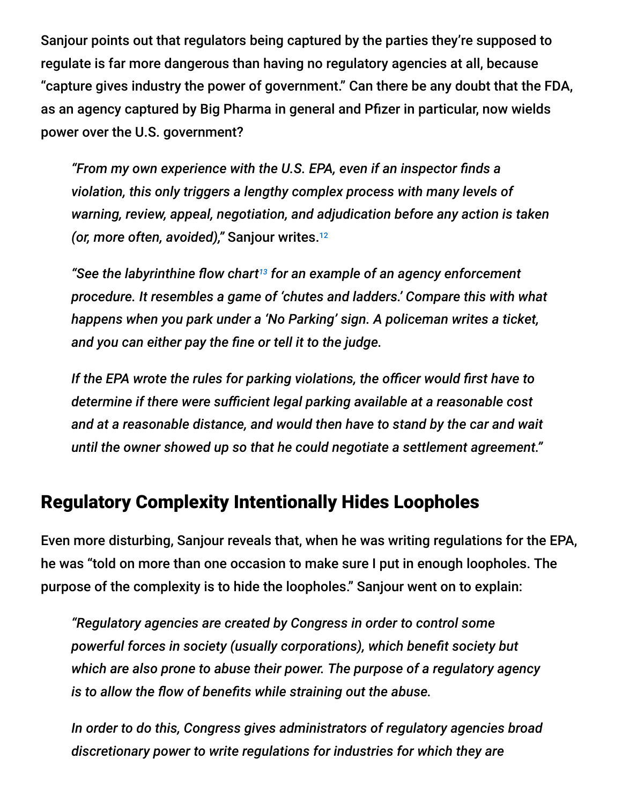Sanjour points out that regulators being captured by the parties they're supposed to regulate is far more dangerous than having no regulatory agencies at all, because "capture gives industry the power of government." Can there be any doubt that the FDA, as an agency captured by Big Pharma in general and Pfizer in particular, now wields power over the U.S. government?

*"From my own experience with the U.S. EPA, even if an inspector finds a violation, this only triggers a lengthy complex process with many levels of warning, review, appeal, negotiation, and adjudication before any action is taken (or, more often, avoided),"* Sanjour writes. 12

"See the labyrinthine flow chart<sup>13</sup> for an example of an agency enforcement *procedure. It resembles a game of 'chutes and ladders.' Compare this with what happens when you park under a 'No Parking' sign. A policeman writes a ticket, and you can either pay the fine or tell it to the judge.*

*If the EPA wrote the rules for parking violations, the officer would first have to determine if there were sufficient legal parking available at a reasonable cost and at a reasonable distance, and would then have to stand by the car and wait until the owner showed up so that he could negotiate a settlement agreement."*

### Regulatory Complexity Intentionally Hides Loopholes

Even more disturbing, Sanjour reveals that, when he was writing regulations for the EPA, he was "told on more than one occasion to make sure I put in enough loopholes. The purpose of the complexity is to hide the loopholes." Sanjour went on to explain:

*"Regulatory agencies are created by Congress in order to control some powerful forces in society (usually corporations), which benefit society but which are also prone to abuse their power. The purpose of a regulatory agency is to allow the flow of benefits while straining out the abuse.*

*In order to do this, Congress gives administrators of regulatory agencies broad discretionary power to write regulations for industries for which they are*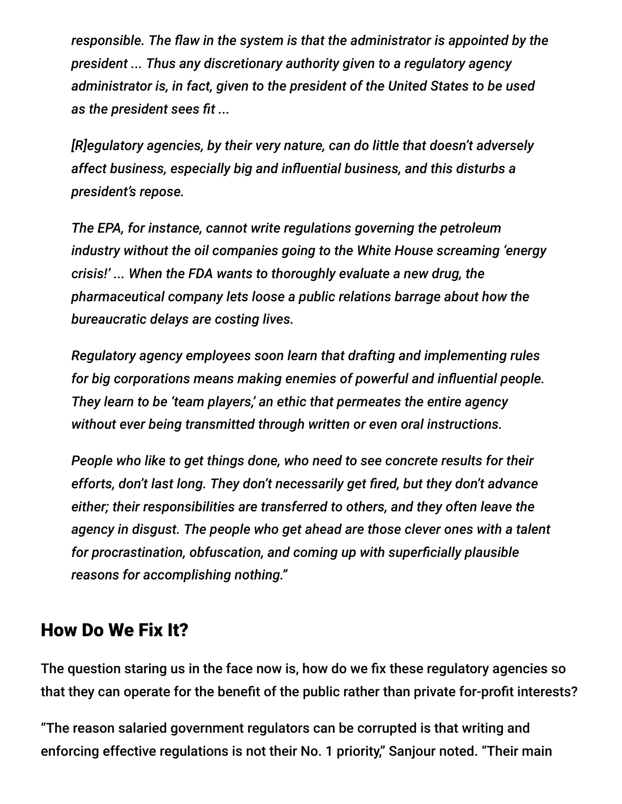*responsible. The flaw in the system is that the administrator is appointed by the president ... Thus any discretionary authority given to a regulatory agency administrator is, in fact, given to the president of the United States to be used as the president sees fit ...*

*[R]egulatory agencies, by their very nature, can do little that doesn't adversely affect business, especially big and influential business, and this disturbs a president's repose.*

*The EPA, for instance, cannot write regulations governing the petroleum industry without the oil companies going to the White House screaming 'energy crisis!' ... When the FDA wants to thoroughly evaluate a new drug, the pharmaceutical company lets loose a public relations barrage about how the bureaucratic delays are costing lives.*

*Regulatory agency employees soon learn that drafting and implementing rules for big corporations means making enemies of powerful and influential people. They learn to be 'team players,' an ethic that permeates the entire agency without ever being transmitted through written or even oral instructions.*

*People who like to get things done, who need to see concrete results for their efforts, don't last long. They don't necessarily get fired, but they don't advance either; their responsibilities are transferred to others, and they often leave the agency in disgust. The people who get ahead are those clever ones with a talent for procrastination, obfuscation, and coming up with superficially plausible reasons for accomplishing nothing."*

### How Do We Fix It?

The question staring us in the face now is, how do we fix these regulatory agencies so that they can operate for the benefit of the public rather than private for-profit interests?

"The reason salaried government regulators can be corrupted is that writing and enforcing effective regulations is not their No. 1 priority," Sanjour noted. "Their main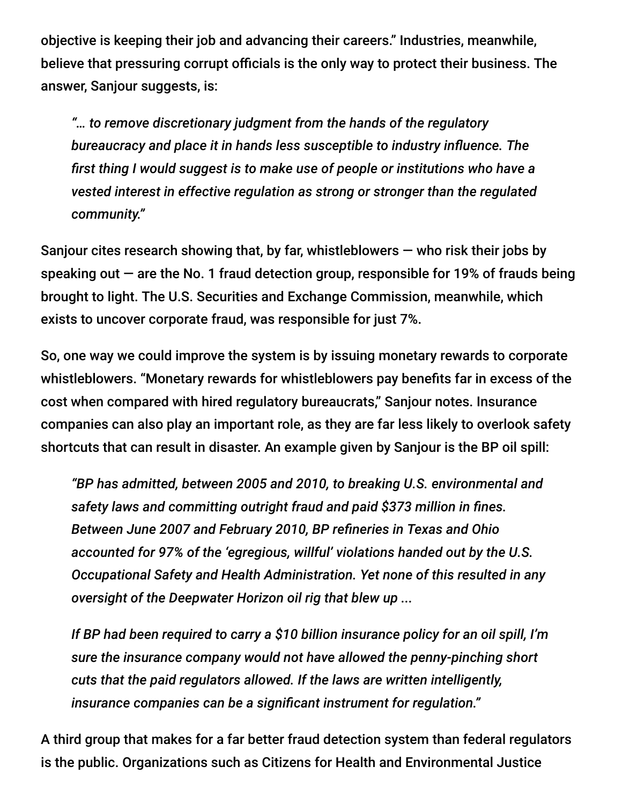objective is keeping their job and advancing their careers." Industries, meanwhile, believe that pressuring corrupt officials is the only way to protect their business. The answer, Sanjour suggests, is:

*"… to remove discretionary judgment from the hands of the regulatory bureaucracy and place it in hands less susceptible to industry influence. The first thing I would suggest is to make use of people or institutions who have a vested interest in effective regulation as strong or stronger than the regulated community."*

Sanjour cites research showing that, by far, whistleblowers  $-$  who risk their jobs by speaking out  $-$  are the No. 1 fraud detection group, responsible for 19% of frauds being brought to light. The U.S. Securities and Exchange Commission, meanwhile, which exists to uncover corporate fraud, was responsible for just 7%.

So, one way we could improve the system is by issuing monetary rewards to corporate whistleblowers. "Monetary rewards for whistleblowers pay benefits far in excess of the cost when compared with hired regulatory bureaucrats," Sanjour notes. Insurance companies can also play an important role, as they are far less likely to overlook safety shortcuts that can result in disaster. An example given by Sanjour is the BP oil spill:

*"BP has admitted, between 2005 and 2010, to breaking U.S. environmental and safety laws and committing outright fraud and paid \$373 million in fines. Between June 2007 and February 2010, BP refineries in Texas and Ohio accounted for 97% of the 'egregious, willful' violations handed out by the U.S. Occupational Safety and Health Administration. Yet none of this resulted in any oversight of the Deepwater Horizon oil rig that blew up ...*

*If BP had been required to carry a \$10 billion insurance policy for an oil spill, I'm sure the insurance company would not have allowed the penny-pinching short cuts that the paid regulators allowed. If the laws are written intelligently, insurance companies can be a significant instrument for regulation."*

A third group that makes for a far better fraud detection system than federal regulators is the public. Organizations such as Citizens for Health and Environmental Justice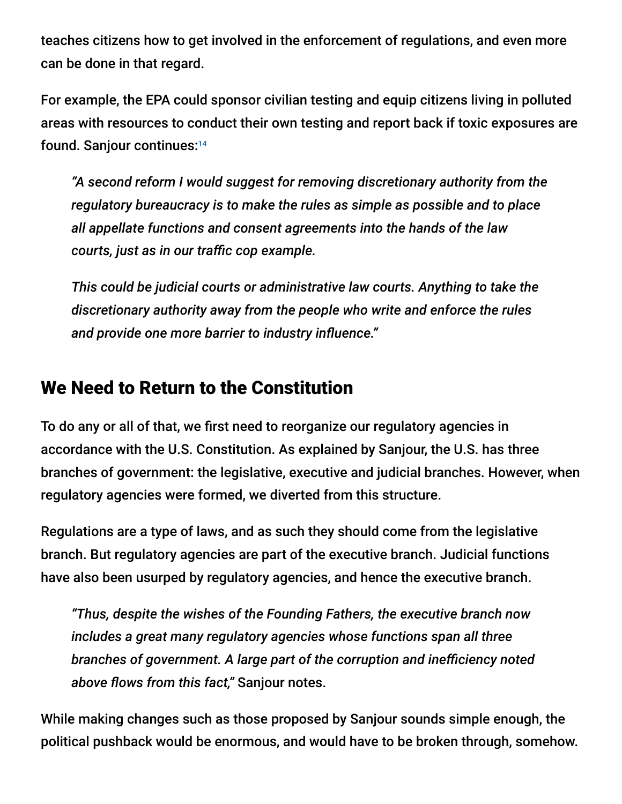teaches citizens how to get involved in the enforcement of regulations, and even more can be done in that regard.

For example, the EPA could sponsor civilian testing and equip citizens living in polluted areas with resources to conduct their own testing and report back if toxic exposures are found. Sanjour continues: 14

*"A second reform I would suggest for removing discretionary authority from the regulatory bureaucracy is to make the rules as simple as possible and to place all appellate functions and consent agreements into the hands of the law courts, just as in our traffic cop example.*

*This could be judicial courts or administrative law courts. Anything to take the discretionary authority away from the people who write and enforce the rules and provide one more barrier to industry influence."*

### We Need to Return to the Constitution

To do any or all of that, we first need to reorganize our regulatory agencies in accordance with the U.S. Constitution. As explained by Sanjour, the U.S. has three branches of government: the legislative, executive and judicial branches. However, when regulatory agencies were formed, we diverted from this structure.

Regulations are a type of laws, and as such they should come from the legislative branch. But regulatory agencies are part of the executive branch. Judicial functions have also been usurped by regulatory agencies, and hence the executive branch.

*"Thus, despite the wishes of the Founding Fathers, the executive branch now includes a great many regulatory agencies whose functions span all three branches of government. A large part of the corruption and inefficiency noted above flows from this fact,"* Sanjour notes.

While making changes such as those proposed by Sanjour sounds simple enough, the political pushback would be enormous, and would have to be broken through, somehow.